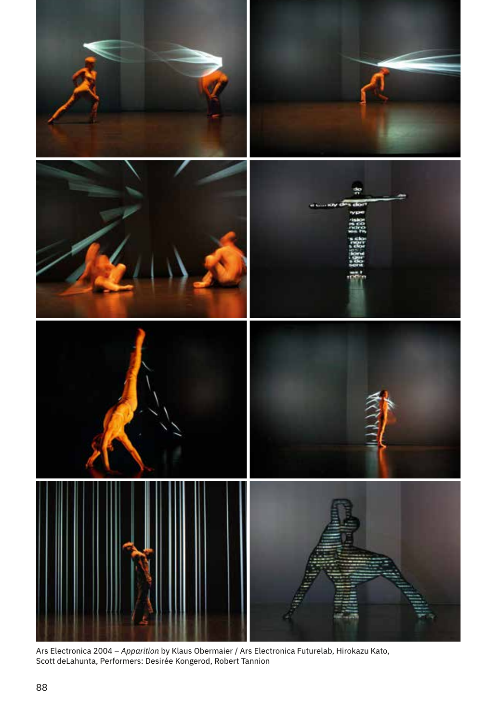

Ars Electronica 2004 – *Apparition* by Klaus Obermaier / Ars Electronica Futurelab, Hirokazu Kato, Scott deLahunta, Performers: Desirée Kongerod, Robert Tannion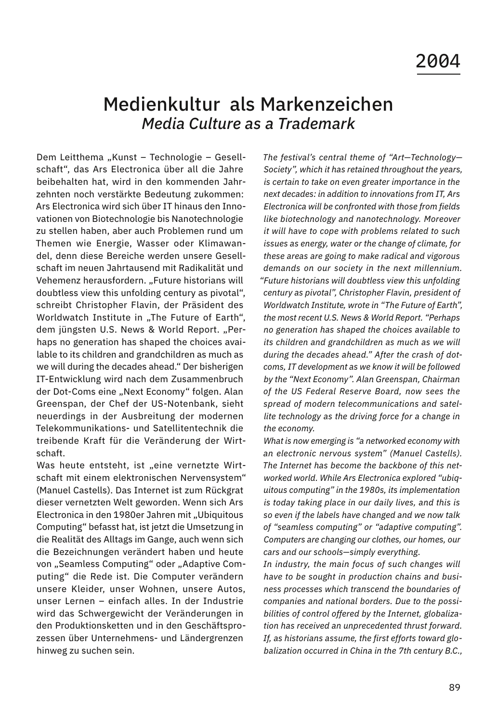### Medienkultur als Markenzeichen *Media Culture as a Trademark*

Dem Leitthema "Kunst - Technologie - Gesellschaft", das Ars Electronica über all die Jahre beibehalten hat, wird in den kommenden Jahrzehnten noch verstärkte Bedeutung zukommen: Ars Electronica wird sich über IT hinaus den Innovationen von Biotechnologie bis Nanotechnologie zu stellen haben, aber auch Problemen rund um Themen wie Energie, Wasser oder Klimawandel, denn diese Bereiche werden unsere Gesellschaft im neuen Jahrtausend mit Radikalität und Vehemenz herausfordern. "Future historians will doubtless view this unfolding century as pivotal", schreibt Christopher Flavin, der Präsident des Worldwatch Institute in "The Future of Earth", dem jüngsten U.S. News & World Report. "Perhaps no generation has shaped the choices available to its children and grandchildren as much as we will during the decades ahead." Der bisherigen IT-Entwicklung wird nach dem Zusammenbruch der Dot-Coms eine "Next Economy" folgen. Alan Greenspan, der Chef der US-Notenbank, sieht neuerdings in der Ausbreitung der modernen Telekommunikations- und Satellitentechnik die treibende Kraft für die Veränderung der Wirtschaft.

Was heute entsteht, ist "eine vernetzte Wirtschaft mit einem elektronischen Nervensystem" (Manuel Castells). Das Internet ist zum Rückgrat dieser vernetzten Welt geworden. Wenn sich Ars Electronica in den 1980er Jahren mit "Ubiquitous Computing" befasst hat, ist jetzt die Umsetzung in die Realität des Alltags im Gange, auch wenn sich die Bezeichnungen verändert haben und heute von "Seamless Computing" oder "Adaptive Computing" die Rede ist. Die Computer verändern unsere Kleider, unser Wohnen, unsere Autos, unser Lernen – einfach alles. In der Industrie wird das Schwergewicht der Veränderungen in den Produktionsketten und in den Geschäftsprozessen über Unternehmens- und Ländergrenzen hinweg zu suchen sein.

*The festival's central theme of "Art—Technology— Society", which it has retained throughout the years, is certain to take on even greater importance in the next decades: in addition to innovations from IT, Ars Electronica will be confronted with those from fields like biotechnology and nanotechnology. Moreover it will have to cope with problems related to such issues as energy, water or the change of climate, for these areas are going to make radical and vigorous demands on our society in the next millennium. "Future historians will doubtless view this unfolding century as pivotal", Christopher Flavin, president of Worldwatch Institute, wrote in "The Future of Earth", the most recent U.S. News & World Report. "Perhaps no generation has shaped the choices available to its children and grandchildren as much as we will during the decades ahead." After the crash of dotcoms, IT development as we know it will be followed by the "Next Economy". Alan Greenspan, Chairman of the US Federal Reserve Board, now sees the spread of modern telecommunications and satellite technology as the driving force for a change in the economy.* 

*What is now emerging is "a networked economy with an electronic nervous system" (Manuel Castells). The Internet has become the backbone of this networked world. While Ars Electronica explored "ubiquitous computing" in the 1980s, its implementation is today taking place in our daily lives, and this is so even if the labels have changed and we now talk of "seamless computing" or "adaptive computing". Computers are changing our clothes, our homes, our cars and our schools—simply everything.* 

*In industry, the main focus of such changes will have to be sought in production chains and business processes which transcend the boundaries of companies and national borders. Due to the possibilities of control offered by the Internet, globalization has received an unprecedented thrust forward. If, as historians assume, the first efforts toward globalization occurred in China in the 7th century B.C.,*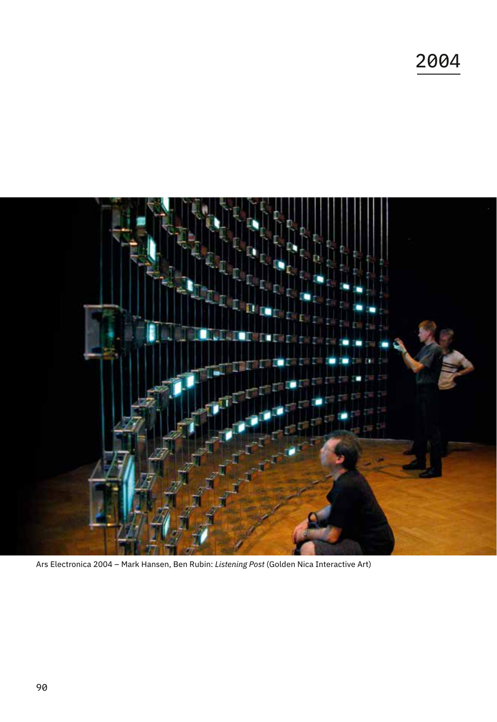

Ars Electronica 2004 – Mark Hansen, Ben Rubin: *Listening Post* (Golden Nica Interactive Art)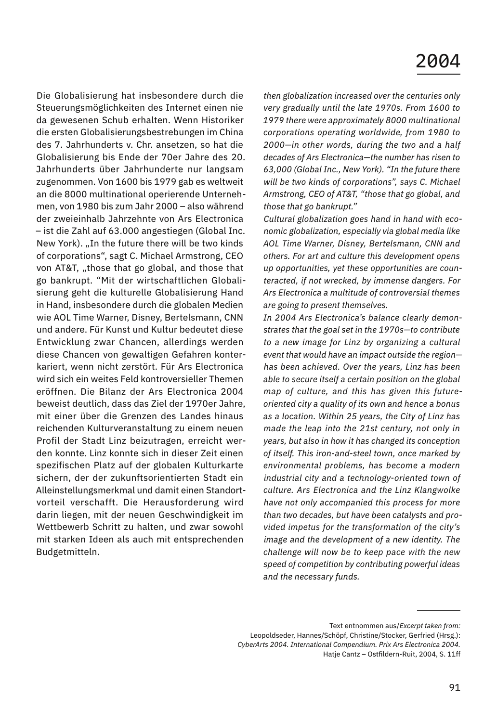### 2004

Die Globalisierung hat insbesondere durch die Steuerungsmöglichkeiten des Internet einen nie da gewesenen Schub erhalten. Wenn Historiker die ersten Globalisierungsbestrebungen im China des 7. Jahrhunderts v. Chr. ansetzen, so hat die Globalisierung bis Ende der 70er Jahre des 20. Jahrhunderts über Jahrhunderte nur langsam zugenommen. Von 1600 bis 1979 gab es weltweit an die 8000 multinational operierende Unternehmen, von 1980 bis zum Jahr 2000 – also während der zweieinhalb Jahrzehnte von Ars Electronica – ist die Zahl auf 63.000 angestiegen (Global Inc. New York). "In the future there will be two kinds of corporations", sagt C. Michael Armstrong, CEO von AT&T, "those that go global, and those that go bankrupt. "Mit der wirtschaftlichen Globalisierung geht die kulturelle Globalisierung Hand in Hand, insbesondere durch die globalen Medien wie AOL Time Warner, Disney, Bertelsmann, CNN und andere. Für Kunst und Kultur bedeutet diese Entwicklung zwar Chancen, allerdings werden diese Chancen von gewaltigen Gefahren konterkariert, wenn nicht zerstört. Für Ars Electronica wird sich ein weites Feld kontroversieller Themen eröffnen. Die Bilanz der Ars Electronica 2004 beweist deutlich, dass das Ziel der 1970er Jahre, mit einer über die Grenzen des Landes hinaus reichenden Kulturveranstaltung zu einem neuen Profil der Stadt Linz beizutragen, erreicht werden konnte. Linz konnte sich in dieser Zeit einen spezifischen Platz auf der globalen Kulturkarte sichern, der der zukunftsorientierten Stadt ein Alleinstellungsmerkmal und damit einen Standortvorteil verschafft. Die Herausforderung wird darin liegen, mit der neuen Geschwindigkeit im Wettbewerb Schritt zu halten, und zwar sowohl mit starken Ideen als auch mit entsprechenden Budgetmitteln.

*then globalization increased over the centuries only very gradually until the late 1970s. From 1600 to 1979 there were approximately 8000 multinational corporations operating worldwide, from 1980 to 2000—in other words, during the two and a half decades of Ars Electronica—the number has risen to 63,000 (Global Inc., New York). "In the future there will be two kinds of corporations", says C. Michael Armstrong, CEO of AT&T, "those that go global, and those that go bankrupt."* 

*Cultural globalization goes hand in hand with economic globalization, especially via global media like AOL Time Warner, Disney, Bertelsmann, CNN and others. For art and culture this development opens up opportunities, yet these opportunities are counteracted, if not wrecked, by immense dangers. For Ars Electronica a multitude of controversial themes are going to present themselves.*

*In 2004 Ars Electronica's balance clearly demonstrates that the goal set in the 1970s—to contribute to a new image for Linz by organizing a cultural event that would have an impact outside the region has been achieved. Over the years, Linz has been able to secure itself a certain position on the global map of culture, and this has given this futureoriented city a quality of its own and hence a bonus as a location. Within 25 years, the City of Linz has made the leap into the 21st century, not only in years, but also in how it has changed its conception of itself. This iron-and-steel town, once marked by environmental problems, has become a modern industrial city and a technology-oriented town of culture. Ars Electronica and the Linz Klangwolke have not only accompanied this process for more than two decades, but have been catalysts and provided impetus for the transformation of the city's image and the development of a new identity. The challenge will now be to keep pace with the new speed of competition by contributing powerful ideas and the necessary funds.*

Text entnommen aus/*Excerpt taken from:* 

Leopoldseder, Hannes/Schöpf, Christine/Stocker, Gerfried (Hrsg.): *CyberArts 2004. International Compendium. Prix Ars Electronica 2004.*  Hatje Cantz – Ostfildern-Ruit, 2004, S. 11ff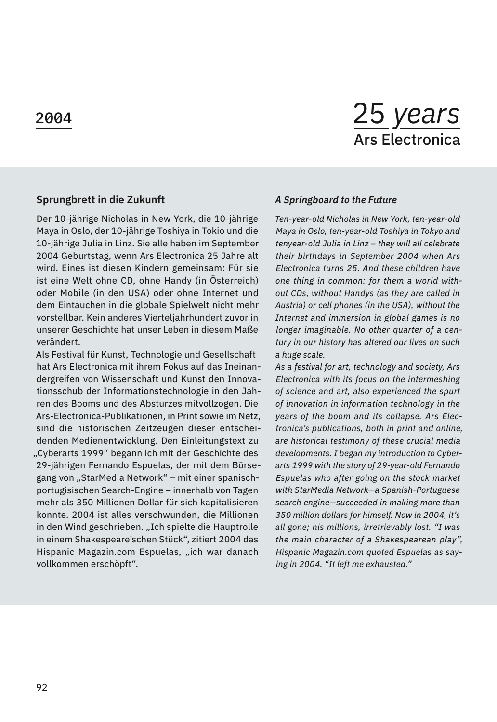# 25 *years* Ars Electronica

#### **Sprungbrett in die Zukunft**

Der 10-jährige Nicholas in New York, die 10-jährige Maya in Oslo, der 10-jährige Toshiya in Tokio und die 10-jährige Julia in Linz. Sie alle haben im September 2004 Geburtstag, wenn Ars Electronica 25 Jahre alt wird. Eines ist diesen Kindern gemeinsam: Für sie ist eine Welt ohne CD, ohne Handy (in Österreich) oder Mobile (in den USA) oder ohne Internet und dem Eintauchen in die globale Spielwelt nicht mehr vorstellbar. Kein anderes Vierteljahrhundert zuvor in unserer Geschichte hat unser Leben in diesem Maße verändert.

Als Festival für Kunst, Technologie und Gesellschaft hat Ars Electronica mit ihrem Fokus auf das Ineinandergreifen von Wissenschaft und Kunst den Innovationsschub der Informationstechnologie in den Jahren des Booms und des Absturzes mitvollzogen. Die Ars-Electronica-Publikationen, in Print sowie im Netz, sind die historischen Zeitzeugen dieser entscheidenden Medienentwicklung. Den Einleitungstext zu "Cyberarts 1999" begann ich mit der Geschichte des 29-jährigen Fernando Espuelas, der mit dem Börsegang von "StarMedia Network" – mit einer spanischportugisischen Search-Engine – innerhalb von Tagen mehr als 350 Millionen Dollar für sich kapitalisieren konnte. 2004 ist alles verschwunden, die Millionen in den Wind geschrieben. "Ich spielte die Hauptrolle in einem Shakespeare'schen Stück", zitiert 2004 das Hispanic Magazin.com Espuelas, "ich war danach vollkommen erschöpft".

#### *A Springboard to the Future*

*Ten-year-old Nicholas in New York, ten-year-old Maya in Oslo, ten-year-old Toshiya in Tokyo and tenyear-old Julia in Linz – they will all celebrate their birthdays in September 2004 when Ars Electronica turns 25. And these children have one thing in common: for them a world without CDs, without Handys (as they are called in Austria) or cell phones (in the USA), without the Internet and immersion in global games is no longer imaginable. No other quarter of a century in our history has altered our lives on such a huge scale.* 

*As a festival for art, technology and society, Ars Electronica with its focus on the intermeshing of science and art, also experienced the spurt of innovation in information technology in the years of the boom and its collapse. Ars Electronica's publications, both in print and online, are historical testimony of these crucial media developments. I began my introduction to Cyberarts 1999 with the story of 29-year-old Fernando Espuelas who after going on the stock market with StarMedia Network—a Spanish-Portuguese search engine—succeeded in making more than 350 million dollars for himself. Now in 2004, it's all gone; his millions, irretrievably lost. "I was the main character of a Shakespearean play", Hispanic Magazin.com quoted Espuelas as saying in 2004. "It left me exhausted."*